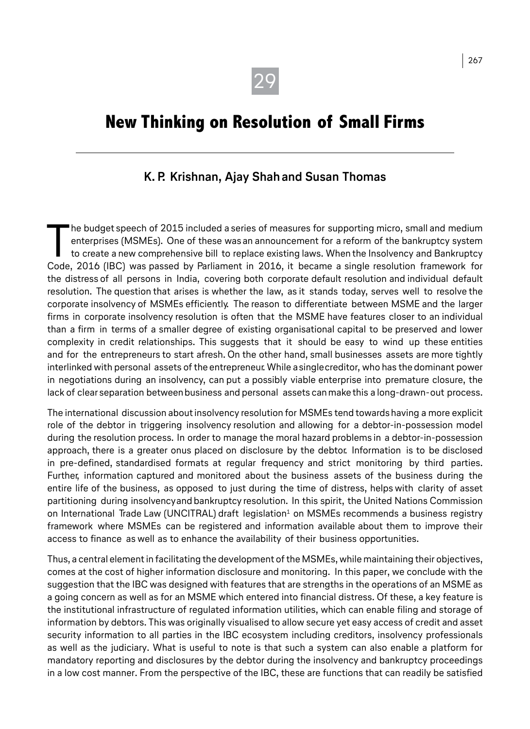# **New Thinking on Resolution of Small Firms**

### **K. P. Krishnan, Ajay Shah and Susan Thomas**

The budget speech of 2015 included a series of measures for supporting micro, small and medium enterprises (MSMEs). One of these was an announcement for a reform of the bankruptcy system to create a new comprehensive bill he budget speech of 2015 included a series of measures for supporting micro, small and medium enterprises (MSMEs). One of these was an announcement for a reform of the bankruptcy system to create a new comprehensive bill to replace existing laws. When the Insolvency and Bankruptcy the distress of all persons in India, covering both corporate default resolution and individual default resolution. The question that arises is whether the law, as it stands today, serves well to resolve the corporate insolvency of MSMEs efficiently. The reason to differentiate between MSME and the larger firms in corporate insolvency resolution is often that the MSME have features closer to an individual than a firm in terms of a smaller degree of existing organisational capital to be preserved and lower complexity in credit relationships. This suggests that it should be easy to wind up these entities and for the entrepreneurs to start afresh. On the other hand, small businesses assets are more tightly interlinked with personal assets of the entrepreneur. While a single creditor, who has the dominant power in negotiations during an insolvency, can put a possibly viable enterprise into premature closure, the lack of clear separation between business and personal assets can make this a long-drawn-out process.

The international discussion about insolvency resolution for MSMEs tend towards having a more explicit role of the debtor in triggering insolvency resolution and allowing for a debtor-in-possession model during the resolution process. In order to manage the moral hazard problems in a debtor-in-possession approach, there is a greater onus placed on disclosure by the debtor. Information is to be disclosed in pre-defined, standardised formats at regular frequency and strict monitoring by third parties. Further, information captured and monitored about the business assets of the business during the entire life of the business, as opposed to just during the time of distress, helps with clarity of asset partitioning during insolvency and bankruptcy resolution. In this spirit, the United Nations Commission on International Trade Law (UNCITRAL) draft legislation<sup>1</sup> on MSMEs recommends a business registry framework where MSMEs can be registered and information available about them to improve their access to finance as well as to enhance the availability of their business opportunities.

Thus, a central element in facilitating the development of the MSMEs, while maintaining their objectives, comes at the cost of higher information disclosure and monitoring. In this paper, we conclude with the suggestion that the IBC was designed with features that are strengths in the operations of an MSME as a going concern as well as for an MSME which entered into financial distress. Of these, a key feature is the institutional infrastructure of regulated information utilities, which can enable filing and storage of information by debtors. This was originally visualised to allow secure yet easy access of credit and asset security information to all parties in the IBC ecosystem including creditors, insolvency professionals as well as the judiciary. What is useful to note is that such a system can also enable a platform for mandatory reporting and disclosures by the debtor during the insolvency and bankruptcy proceedings in a low cost manner. From the perspective of the IBC, these are functions that can readily be satisfied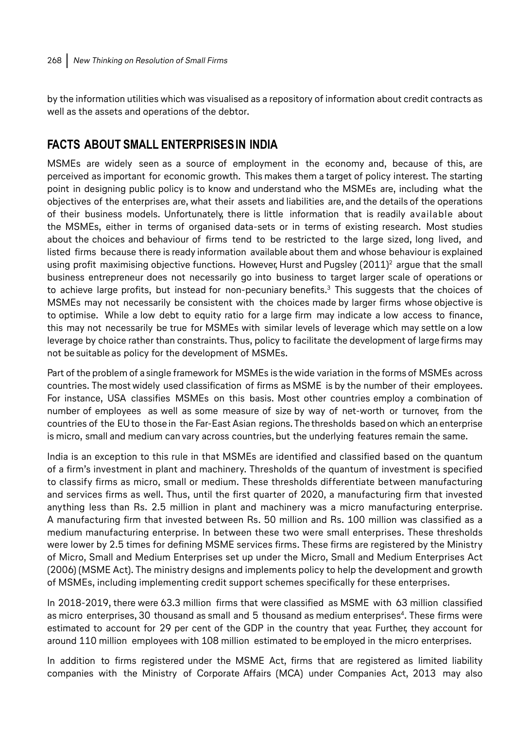by the information utilities which was visualised as a repository of information about credit contracts as well as the assets and operations of the debtor.

## **FACTS ABOUT SMALL ENTERPRISES IN INDIA**

MSMEs are widely seen as a source of employment in the economy and, because of this, are perceived as important for economic growth. This makes them a target of policy interest. The starting point in designing public policy is to know and understand who the MSMEs are, including what the objectives of the enterprises are, what their assets and liabilities are, and the details of the operations of their business models. Unfortunately, there is little information that is readily available about the MSMEs, either in terms of organised data-sets or in terms of existing research. Most studies about the choices and behaviour of firms tend to be restricted to the large sized, long lived, and listed firms because there is ready information available about them and whose behaviour is explained using profit maximising objective functions. However, Hurst and Pugsley (2011)2 argue that the small business entrepreneur does not necessarily go into business to target larger scale of operations or to achieve large profits, but instead for non-pecuniary benefits.3 This suggests that the choices of MSMEs may not necessarily be consistent with the choices made by larger firms whose objective is to optimise. While a low debt to equity ratio for a large firm may indicate a low access to finance, this may not necessarily be true for MSMEs with similar levels of leverage which may settle on a low leverage by choice rather than constraints. Thus, policy to facilitate the development of large firms may not be suitable as policy for the development of MSMEs.

Part of the problem of a single framework for MSMEs is the wide variation in the forms of MSMEs across countries. The most widely used classification of firms as MSME is by the number of their employees. For instance, USA classifies MSMEs on this basis. Most other countries employ a combination of number of employees as well as some measure of size by way of net-worth or turnover, from the countries of the EU to those in the Far-East Asian regions. The thresholds based on which an enterprise is micro, small and medium can vary across countries, but the underlying features remain the same.

India is an exception to this rule in that MSMEs are identified and classified based on the quantum of a firm's investment in plant and machinery. Thresholds of the quantum of investment is specified to classify firms as micro, small or medium. These thresholds differentiate between manufacturing and services firms as well. Thus, until the first quarter of 2020, a manufacturing firm that invested anything less than Rs. 2.5 million in plant and machinery was a micro manufacturing enterprise. A manufacturing firm that invested between Rs. 50 million and Rs. 100 million was classified as a medium manufacturing enterprise. In between these two were small enterprises. These thresholds were lower by 2.5 times for defining MSME services firms. These firms are registered by the Ministry of Micro, Small and Medium Enterprises set up under the Micro, Small and Medium Enterprises Act (2006) (MSME Act). The ministry designs and implements policy to help the development and growth of MSMEs, including implementing credit support schemes specifically for these enterprises.

In 2018-2019, there were 63.3 million firms that were classified as MSME with 63 million classified as micro enterprises, 30 thousand as small and 5 thousand as medium enterprises<sup>4</sup>. These firms were estimated to account for 29 per cent of the GDP in the country that year. Further, they account for around 110 million employees with 108 million estimated to be employed in the micro enterprises.

In addition to firms registered under the MSME Act, firms that are registered as limited liability companies with the Ministry of Corporate Affairs (MCA) under Companies Act, 2013 may also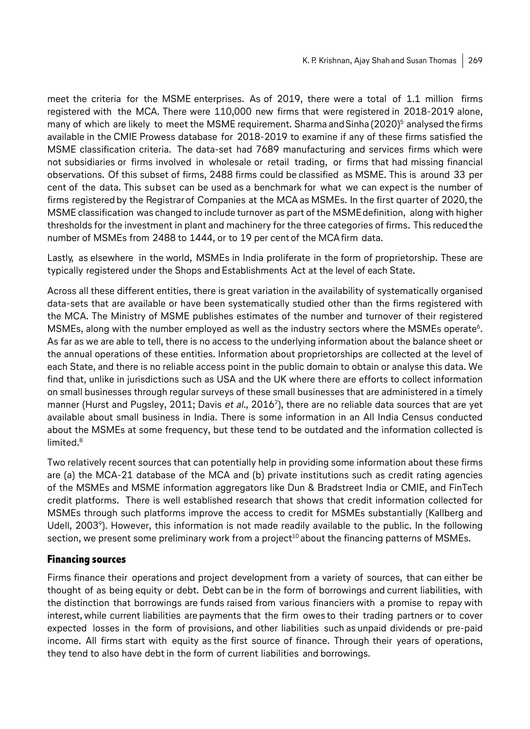meet the criteria for the MSME enterprises. As of 2019, there were a total of 1.1 million firms registered with the MCA. There were 110,000 new firms that were registered in 2018-2019 alone, many of which are likely to meet the MSME requirement. Sharma and Sinha (2020)<sup>5</sup> analysed the firms available in the CMIE Prowess database for 2018-2019 to examine if any of these firms satisfied the MSME classification criteria. The data-set had 7689 manufacturing and services firms which were not subsidiaries or firms involved in wholesale or retail trading, or firms that had missing financial observations. Of this subset of firms, 2488 firms could be classified as MSME. This is around 33 per cent of the data. This subset can be used as a benchmark for what we can expect is the number of firms registered by the Registrar of Companies at the MCA as MSMEs. In the first quarter of 2020, the MSME classification was changed to include turnover as part of the MSME definition, along with higher thresholds for the investment in plant and machinery for the three categories of firms. This reduced the number of MSMEs from 2488 to 1444, or to 19 per cent of the MCA firm data.

Lastly, as elsewhere in the world, MSMEs in India proliferate in the form of proprietorship. These are typically registered under the Shops and Establishments Act at the level of each State.

Across all these different entities, there is great variation in the availability of systematically organised data-sets that are available or have been systematically studied other than the firms registered with the MCA. The Ministry of MSME publishes estimates of the number and turnover of their registered MSMEs, along with the number employed as well as the industry sectors where the MSMEs operate<sup>6</sup>. As far as we are able to tell, there is no access to the underlying information about the balance sheet or the annual operations of these entities. Information about proprietorships are collected at the level of each State, and there is no reliable access point in the public domain to obtain or analyse this data. We find that, unlike in jurisdictions such as USA and the UK where there are efforts to collect information on small businesses through regular surveys of these small businesses that are administered in a timely manner (Hurst and Pugsley, 2011; Davis et al., 2016<sup>7</sup>), there are no reliable data sources that are yet available about small business in India. There is some information in an All India Census conducted about the MSMEs at some frequency, but these tend to be outdated and the information collected is limited.<sup>8</sup>

Two relatively recent sources that can potentially help in providing some information about these firms are (a) the MCA-21 database of the MCA and (b) private institutions such as credit rating agencies of the MSMEs and MSME information aggregators like Dun & Bradstreet India or CMIE, and FinTech credit platforms. There is well established research that shows that credit information collected for MSMEs through such platforms improve the access to credit for MSMEs substantially (Kallberg and Udell, 20039). However, this information is not made readily available to the public. In the following section, we present some preliminary work from a project<sup>10</sup> about the financing patterns of MSMEs.

#### **Financing sources**

Firms finance their operations and project development from a variety of sources, that can either be thought of as being equity or debt. Debt can be in the form of borrowings and current liabilities, with the distinction that borrowings are funds raised from various financiers with a promise to repay with interest, while current liabilities are payments that the firm owes to their trading partners or to cover expected losses in the form of provisions, and other liabilities such as unpaid dividends or pre-paid income. All firms start with equity as the first source of finance. Through their years of operations, they tend to also have debt in the form of current liabilities and borrowings.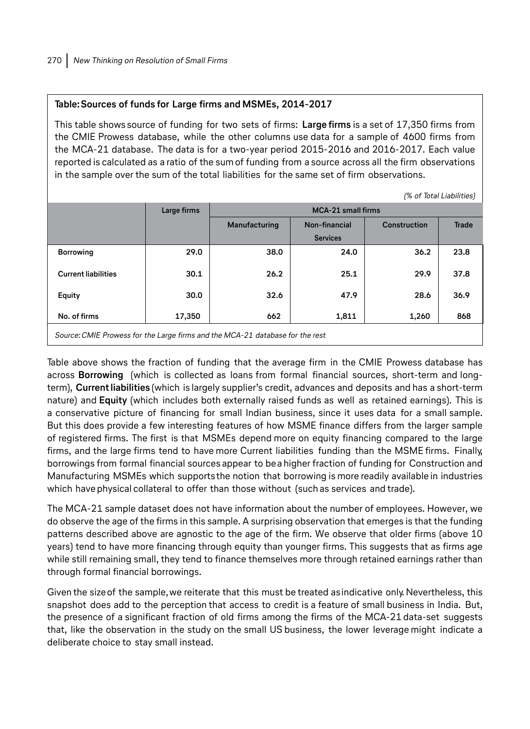#### **Table: Sources of funds for Large firms and MSMEs, 2014-2017**

This table shows source of funding for two sets of firms: **Large firms** is a set of 17,350 firms from the CMIE Prowess database, while the other columns use data for a sample of 4600 firms from the MCA-21 database. The data is for a two-year period 2015-2016 and 2016-2017. Each value reported is calculated as a ratio of the sum of funding from a source across all the firm observations in the sample over the sum of the total liabilities for the same set of firm observations.

 $\epsilon$   $\tau$ -tal Liabilities)

|                                                                               | <i>o</i> or lotal Liabilities) |                           |                 |                     |              |
|-------------------------------------------------------------------------------|--------------------------------|---------------------------|-----------------|---------------------|--------------|
|                                                                               | Large firms                    | <b>MCA-21</b> small firms |                 |                     |              |
|                                                                               |                                | Manufacturing             | Non-financial   | <b>Construction</b> | <b>Trade</b> |
|                                                                               |                                |                           | <b>Services</b> |                     |              |
| <b>Borrowing</b>                                                              | 29.0                           | 38.0                      | 24.0            | 36.2                | 23.8         |
| <b>Current liabilities</b>                                                    | 30.1                           | 26.2                      | 25.1            | 29.9                | 37.8         |
| Equity                                                                        | 30.0                           | 32.6                      | 47.9            | 28.6                | 36.9         |
| No. of firms                                                                  | 17,350                         | 662                       | 1,811           | 1,260               | 868          |
| Source: CMIE Prowess for the Large firms and the MCA-21 database for the rest |                                |                           |                 |                     |              |

Table above shows the fraction of funding that the average firm in the CMIE Prowess database has across **Borrowing** (which is collected as loans from formal financial sources, short-term and longterm), **Current liabilities** (which is largely supplier's credit, advances and deposits and has a short-term nature) and **Equity** (which includes both externally raised funds as well as retained earnings). This is a conservative picture of financing for small Indian business, since it uses data for a small sample. But this does provide a few interesting features of how MSME finance differs from the larger sample of registered firms. The first is that MSMEs depend more on equity financing compared to the large firms, and the large firms tend to have more Current liabilities funding than the MSME firms. Finally, borrowings from formal financial sources appear to be a higher fraction of funding for Construction and Manufacturing MSMEs which supports the notion that borrowing is more readily available in industries which have physical collateral to offer than those without (such as services and trade).

The MCA-21 sample dataset does not have information about the number of employees. However, we do observe the age of the firms in this sample. A surprising observation that emerges is that the funding patterns described above are agnostic to the age of the firm. We observe that older firms (above 10 years) tend to have more financing through equity than younger firms. This suggests that as firms age while still remaining small, they tend to finance themselves more through retained earnings rather than through formal financial borrowings.

Given the size of the sample, we reiterate that this must be treated as indicative only. Nevertheless, this snapshot does add to the perception that access to credit is a feature of small business in India. But, the presence of a significant fraction of old firms among the firms of the MCA-21 data-set suggests that, like the observation in the study on the small US business, the lower leverage might indicate a deliberate choice to stay small instead.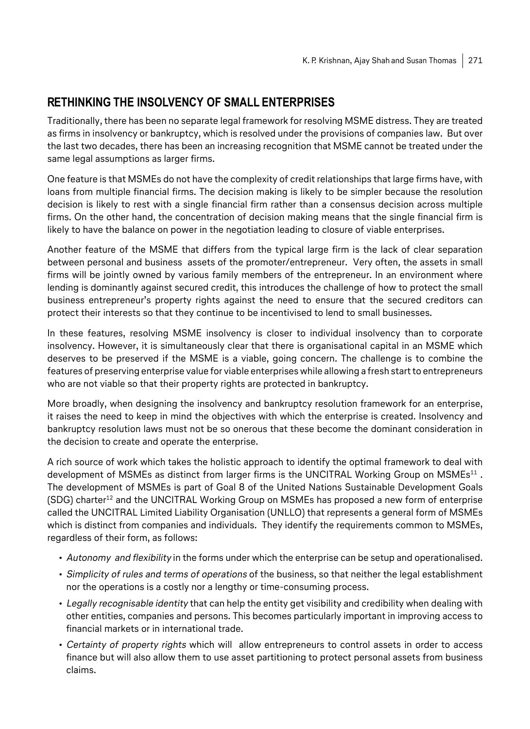# **RETHINKING THE INSOLVENCY OF SMALL ENTERPRISES**

Traditionally, there has been no separate legal framework for resolving MSME distress. They are treated as firms in insolvency or bankruptcy, which is resolved under the provisions of companies law. But over the last two decades, there has been an increasing recognition that MSME cannot be treated under the same legal assumptions as larger firms.

One feature is that MSMEs do not have the complexity of credit relationships that large firms have, with loans from multiple financial firms. The decision making is likely to be simpler because the resolution decision is likely to rest with a single financial firm rather than a consensus decision across multiple firms. On the other hand, the concentration of decision making means that the single financial firm is likely to have the balance on power in the negotiation leading to closure of viable enterprises.

Another feature of the MSME that differs from the typical large firm is the lack of clear separation between personal and business assets of the promoter/entrepreneur. Very often, the assets in small firms will be jointly owned by various family members of the entrepreneur. In an environment where lending is dominantly against secured credit, this introduces the challenge of how to protect the small business entrepreneur's property rights against the need to ensure that the secured creditors can protect their interests so that they continue to be incentivised to lend to small businesses.

In these features, resolving MSME insolvency is closer to individual insolvency than to corporate insolvency. However, it is simultaneously clear that there is organisational capital in an MSME which deserves to be preserved if the MSME is a viable, going concern. The challenge is to combine the features of preserving enterprise value for viable enterprises while allowing a fresh start to entrepreneurs who are not viable so that their property rights are protected in bankruptcy.

More broadly, when designing the insolvency and bankruptcy resolution framework for an enterprise, it raises the need to keep in mind the objectives with which the enterprise is created. Insolvency and bankruptcy resolution laws must not be so onerous that these become the dominant consideration in the decision to create and operate the enterprise.

A rich source of work which takes the holistic approach to identify the optimal framework to deal with development of MSMEs as distinct from larger firms is the UNCITRAL Working Group on MSMEs<sup>11</sup>. The development of MSMEs is part of Goal 8 of the United Nations Sustainable Development Goals (SDG) charter<sup>12</sup> and the UNCITRAL Working Group on MSMEs has proposed a new form of enterprise called the UNCITRAL Limited Liability Organisation (UNLLO) that represents a general form of MSMEs which is distinct from companies and individuals. They identify the requirements common to MSMEs, regardless of their form, as follows:

- Autonomy and flexibility in the forms under which the enterprise can be setup and operationalised.
- Simplicity of rules and terms of operations of the business, so that neither the legal establishment nor the operations is a costly nor a lengthy or time-consuming process.
- Legally recognisable identity that can help the entity get visibility and credibility when dealing with other entities, companies and persons. This becomes particularly important in improving access to financial markets or in international trade.
- Certainty of property rights which will allow entrepreneurs to control assets in order to access finance but will also allow them to use asset partitioning to protect personal assets from business claims.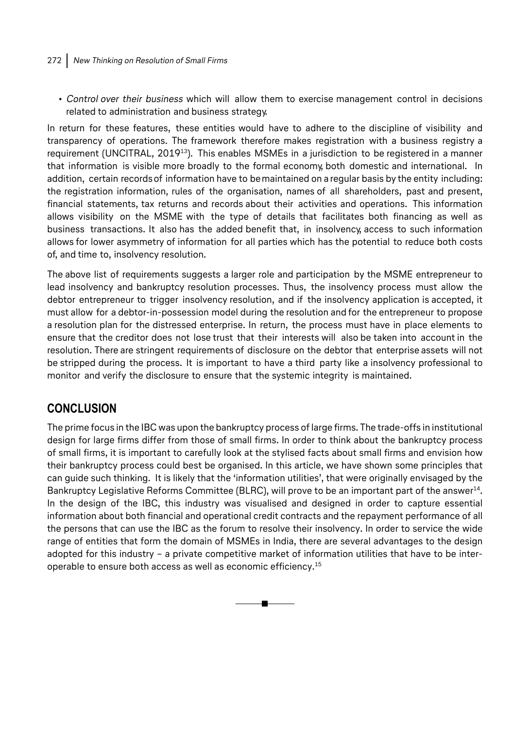#### 272 New Thinking on Resolution of Small Firms

• Control over their business which will allow them to exercise management control in decisions related to administration and business strategy.

In return for these features, these entities would have to adhere to the discipline of visibility and transparency of operations. The framework therefore makes registration with a business registry a requirement (UNCITRAL, 2019<sup>13</sup>). This enables MSMEs in a jurisdiction to be registered in a manner that information is visible more broadly to the formal economy, both domestic and international. In addition, certain records of information have to be maintained on a regular basis by the entity including: the registration information, rules of the organisation, names of all shareholders, past and present, financial statements, tax returns and records about their activities and operations. This information allows visibility on the MSME with the type of details that facilitates both financing as well as business transactions. It also has the added benefit that, in insolvency, access to such information allows for lower asymmetry of information for all parties which has the potential to reduce both costs of, and time to, insolvency resolution.

The above list of requirements suggests a larger role and participation by the MSME entrepreneur to lead insolvency and bankruptcy resolution processes. Thus, the insolvency process must allow the debtor entrepreneur to trigger insolvency resolution, and if the insolvency application is accepted, it must allow for a debtor-in-possession model during the resolution and for the entrepreneur to propose a resolution plan for the distressed enterprise. In return, the process must have in place elements to ensure that the creditor does not lose trust that their interests will also be taken into account in the resolution. There are stringent requirements of disclosure on the debtor that enterprise assets will not be stripped during the process. It is important to have a third party like a insolvency professional to monitor and verify the disclosure to ensure that the systemic integrity is maintained.

# **CONCLUSION**

The prime focus in the IBC was upon the bankruptcy process of large firms. The trade-offs in institutional design for large firms differ from those of small firms. In order to think about the bankruptcy process of small firms, it is important to carefully look at the stylised facts about small firms and envision how their bankruptcy process could best be organised. In this article, we have shown some principles that can guide such thinking. It is likely that the 'information utilities', that were originally envisaged by the Bankruptcy Legislative Reforms Committee (BLRC), will prove to be an important part of the answer<sup>14</sup>. In the design of the IBC, this industry was visualised and designed in order to capture essential information about both financial and operational credit contracts and the repayment performance of all the persons that can use the IBC as the forum to resolve their insolvency. In order to service the wide range of entities that form the domain of MSMEs in India, there are several advantages to the design adopted for this industry – a private competitive market of information utilities that have to be interoperable to ensure both access as well as economic efficiency.15